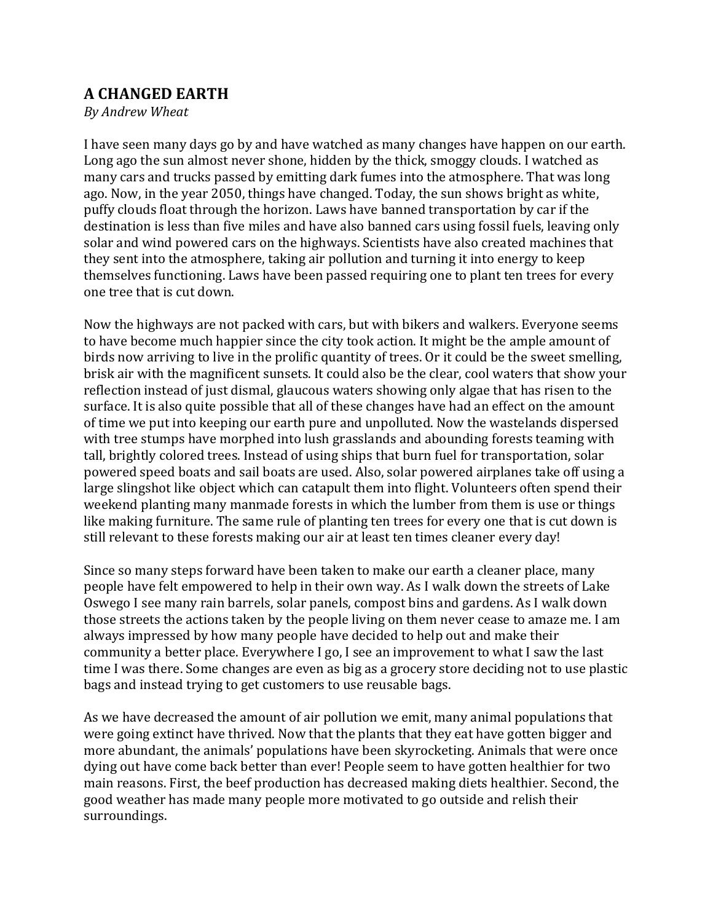## **A CHANGED EARTH**

*By Andrew Wheat*

I have seen many days go by and have watched as many changes have happen on our earth. Long ago the sun almost never shone, hidden by the thick, smoggy clouds. I watched as many cars and trucks passed by emitting dark fumes into the atmosphere. That was long ago. Now, in the year 2050, things have changed. Today, the sun shows bright as white, puffy clouds float through the horizon. Laws have banned transportation by car if the destination is less than five miles and have also banned cars using fossil fuels, leaving only solar and wind powered cars on the highways. Scientists have also created machines that they sent into the atmosphere, taking air pollution and turning it into energy to keep themselves functioning. Laws have been passed requiring one to plant ten trees for every one tree that is cut down.

Now the highways are not packed with cars, but with bikers and walkers. Everyone seems to have become much happier since the city took action. It might be the ample amount of birds now arriving to live in the prolific quantity of trees. Or it could be the sweet smelling, brisk air with the magnificent sunsets. It could also be the clear, cool waters that show your reflection instead of just dismal, glaucous waters showing only algae that has risen to the surface. It is also quite possible that all of these changes have had an effect on the amount of time we put into keeping our earth pure and unpolluted. Now the wastelands dispersed with tree stumps have morphed into lush grasslands and abounding forests teaming with tall, brightly colored trees. Instead of using ships that burn fuel for transportation, solar powered speed boats and sail boats are used. Also, solar powered airplanes take off using a large slingshot like object which can catapult them into flight. Volunteers often spend their weekend planting many manmade forests in which the lumber from them is use or things like making furniture. The same rule of planting ten trees for every one that is cut down is still relevant to these forests making our air at least ten times cleaner every day!

Since so many steps forward have been taken to make our earth a cleaner place, many people have felt empowered to help in their own way. As I walk down the streets of Lake Oswego I see many rain barrels, solar panels, compost bins and gardens. As I walk down those streets the actions taken by the people living on them never cease to amaze me. I am always impressed by how many people have decided to help out and make their community a better place. Everywhere I go, I see an improvement to what I saw the last time I was there. Some changes are even as big as a grocery store deciding not to use plastic bags and instead trying to get customers to use reusable bags.

As we have decreased the amount of air pollution we emit, many animal populations that were going extinct have thrived. Now that the plants that they eat have gotten bigger and more abundant, the animals' populations have been skyrocketing. Animals that were once dying out have come back better than ever! People seem to have gotten healthier for two main reasons. First, the beef production has decreased making diets healthier. Second, the good weather has made many people more motivated to go outside and relish their surroundings.